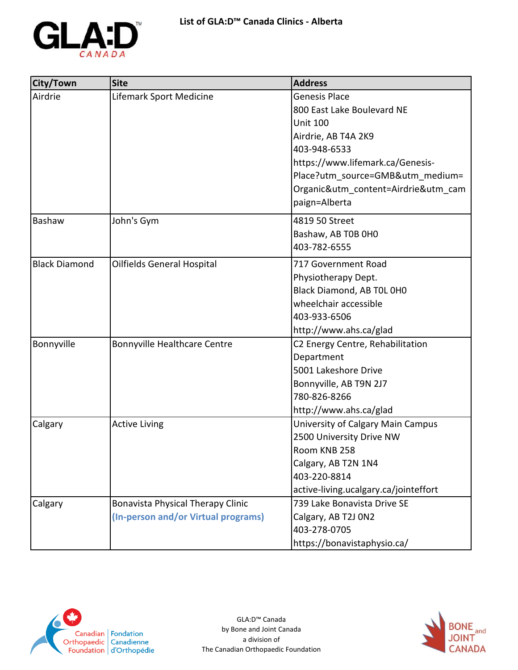

| City/Town            | <b>Site</b>                         | <b>Address</b>                        |
|----------------------|-------------------------------------|---------------------------------------|
| Airdrie              | Lifemark Sport Medicine             | Genesis Place                         |
|                      |                                     | 800 East Lake Boulevard NE            |
|                      |                                     | <b>Unit 100</b>                       |
|                      |                                     | Airdrie, AB T4A 2K9                   |
|                      |                                     | 403-948-6533                          |
|                      |                                     | https://www.lifemark.ca/Genesis-      |
|                      |                                     | Place?utm source=GMB&utm medium=      |
|                      |                                     | Organic&utm_content=Airdrie&utm_cam   |
|                      |                                     | paign=Alberta                         |
| Bashaw               | John's Gym                          | 4819 50 Street                        |
|                      |                                     | Bashaw, AB T0B 0H0                    |
|                      |                                     | 403-782-6555                          |
| <b>Black Diamond</b> | Oilfields General Hospital          | 717 Government Road                   |
|                      |                                     | Physiotherapy Dept.                   |
|                      |                                     | Black Diamond, AB TOL OHO             |
|                      |                                     | wheelchair accessible                 |
|                      |                                     | 403-933-6506                          |
|                      |                                     | http://www.ahs.ca/glad                |
| Bonnyville           | Bonnyville Healthcare Centre        | C2 Energy Centre, Rehabilitation      |
|                      |                                     | Department                            |
|                      |                                     | 5001 Lakeshore Drive                  |
|                      |                                     | Bonnyville, AB T9N 2J7                |
|                      |                                     | 780-826-8266                          |
|                      |                                     | http://www.ahs.ca/glad                |
| Calgary              | <b>Active Living</b>                | University of Calgary Main Campus     |
|                      |                                     | 2500 University Drive NW              |
|                      |                                     | Room KNB 258                          |
|                      |                                     | Calgary, AB T2N 1N4                   |
|                      |                                     | 403-220-8814                          |
|                      |                                     | active-living.ucalgary.ca/jointeffort |
| Calgary              | Bonavista Physical Therapy Clinic   | 739 Lake Bonavista Drive SE           |
|                      | (In-person and/or Virtual programs) | Calgary, AB T2J 0N2                   |
|                      |                                     | 403-278-0705                          |
|                      |                                     | https://bonavistaphysio.ca/           |



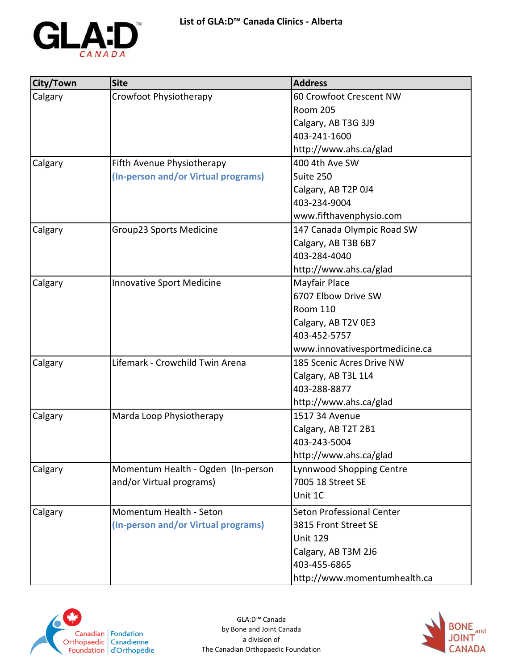

| City/Town | <b>Site</b>                         | <b>Address</b>                   |
|-----------|-------------------------------------|----------------------------------|
| Calgary   | Crowfoot Physiotherapy              | 60 Crowfoot Crescent NW          |
|           |                                     | <b>Room 205</b>                  |
|           |                                     | Calgary, AB T3G 3J9              |
|           |                                     | 403-241-1600                     |
|           |                                     | http://www.ahs.ca/glad           |
| Calgary   | Fifth Avenue Physiotherapy          | 400 4th Ave SW                   |
|           | (In-person and/or Virtual programs) | Suite 250                        |
|           |                                     | Calgary, AB T2P 0J4              |
|           |                                     | 403-234-9004                     |
|           |                                     | www.fifthavenphysio.com          |
| Calgary   | Group23 Sports Medicine             | 147 Canada Olympic Road SW       |
|           |                                     | Calgary, AB T3B 6B7              |
|           |                                     | 403-284-4040                     |
|           |                                     | http://www.ahs.ca/glad           |
| Calgary   | <b>Innovative Sport Medicine</b>    | Mayfair Place                    |
|           |                                     | 6707 Elbow Drive SW              |
|           |                                     | <b>Room 110</b>                  |
|           |                                     | Calgary, AB T2V 0E3              |
|           |                                     | 403-452-5757                     |
|           |                                     | www.innovativesportmedicine.ca   |
| Calgary   | Lifemark - Crowchild Twin Arena     | 185 Scenic Acres Drive NW        |
|           |                                     | Calgary, AB T3L 1L4              |
|           |                                     | 403-288-8877                     |
|           |                                     | http://www.ahs.ca/glad           |
| Calgary   | Marda Loop Physiotherapy            | 1517 34 Avenue                   |
|           |                                     | Calgary, AB T2T 2B1              |
|           |                                     | 403-243-5004                     |
|           |                                     | http://www.ahs.ca/glad           |
| Calgary   | Momentum Health - Ogden (In-person  | Lynnwood Shopping Centre         |
|           | and/or Virtual programs)            | 7005 18 Street SE                |
|           |                                     | Unit 1C                          |
| Calgary   | Momentum Health - Seton             | <b>Seton Professional Center</b> |
|           | (In-person and/or Virtual programs) | 3815 Front Street SE             |
|           |                                     | <b>Unit 129</b>                  |
|           |                                     | Calgary, AB T3M 2J6              |
|           |                                     | 403-455-6865                     |
|           |                                     | http://www.momentumhealth.ca     |



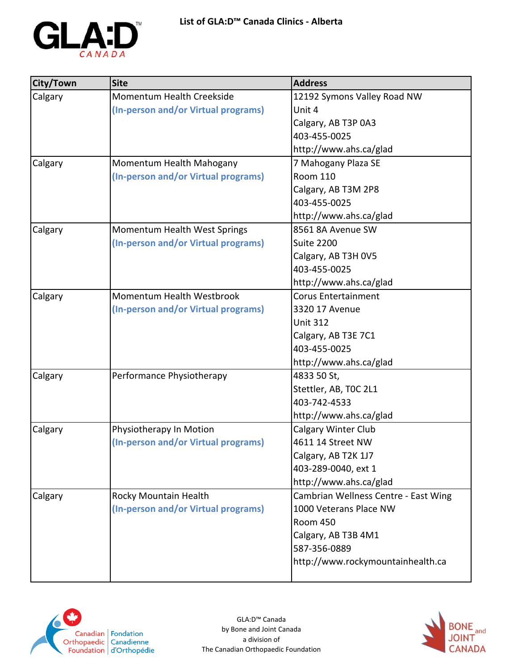

| City/Town | <b>Site</b>                         | <b>Address</b>                       |
|-----------|-------------------------------------|--------------------------------------|
| Calgary   | Momentum Health Creekside           | 12192 Symons Valley Road NW          |
|           | (In-person and/or Virtual programs) | Unit 4                               |
|           |                                     | Calgary, AB T3P 0A3                  |
|           |                                     | 403-455-0025                         |
|           |                                     | http://www.ahs.ca/glad               |
| Calgary   | Momentum Health Mahogany            | 7 Mahogany Plaza SE                  |
|           | (In-person and/or Virtual programs) | <b>Room 110</b>                      |
|           |                                     | Calgary, AB T3M 2P8                  |
|           |                                     | 403-455-0025                         |
|           |                                     | http://www.ahs.ca/glad               |
| Calgary   | Momentum Health West Springs        | 8561 8A Avenue SW                    |
|           | (In-person and/or Virtual programs) | <b>Suite 2200</b>                    |
|           |                                     | Calgary, AB T3H 0V5                  |
|           |                                     | 403-455-0025                         |
|           |                                     | http://www.ahs.ca/glad               |
| Calgary   | Momentum Health Westbrook           | <b>Corus Entertainment</b>           |
|           | (In-person and/or Virtual programs) | 3320 17 Avenue                       |
|           |                                     | <b>Unit 312</b>                      |
|           |                                     | Calgary, AB T3E 7C1                  |
|           |                                     | 403-455-0025                         |
|           |                                     | http://www.ahs.ca/glad               |
| Calgary   | Performance Physiotherapy           | 4833 50 St,                          |
|           |                                     | Stettler, AB, TOC 2L1                |
|           |                                     | 403-742-4533                         |
|           |                                     | http://www.ahs.ca/glad               |
| Calgary   | Physiotherapy In Motion             | <b>Calgary Winter Club</b>           |
|           | (In-person and/or Virtual programs) | 4611 14 Street NW                    |
|           |                                     | Calgary, AB T2K 1J7                  |
|           |                                     | 403-289-0040, ext 1                  |
|           |                                     | http://www.ahs.ca/glad               |
| Calgary   | Rocky Mountain Health               | Cambrian Wellness Centre - East Wing |
|           | (In-person and/or Virtual programs) | 1000 Veterans Place NW               |
|           |                                     | <b>Room 450</b>                      |
|           |                                     | Calgary, AB T3B 4M1                  |
|           |                                     | 587-356-0889                         |
|           |                                     | http://www.rockymountainhealth.ca    |
|           |                                     |                                      |



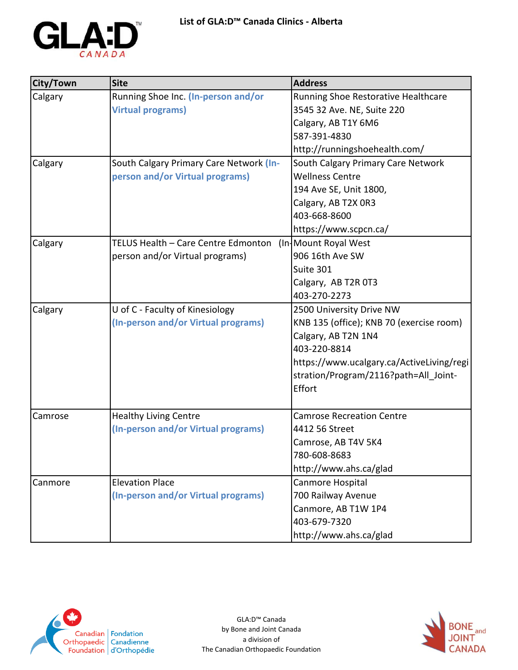

| City/Town | <b>Site</b>                             | <b>Address</b>                            |
|-----------|-----------------------------------------|-------------------------------------------|
| Calgary   | Running Shoe Inc. (In-person and/or     | Running Shoe Restorative Healthcare       |
|           | <b>Virtual programs)</b>                | 3545 32 Ave. NE, Suite 220                |
|           |                                         | Calgary, AB T1Y 6M6                       |
|           |                                         | 587-391-4830                              |
|           |                                         | http://runningshoehealth.com/             |
| Calgary   | South Calgary Primary Care Network (In- | South Calgary Primary Care Network        |
|           | person and/or Virtual programs)         | <b>Wellness Centre</b>                    |
|           |                                         | 194 Ave SE, Unit 1800,                    |
|           |                                         | Calgary, AB T2X 0R3                       |
|           |                                         | 403-668-8600                              |
|           |                                         | https://www.scpcn.ca/                     |
| Calgary   | TELUS Health - Care Centre Edmonton     | (In-Mount Royal West)                     |
|           | person and/or Virtual programs)         | 906 16th Ave SW                           |
|           |                                         | Suite 301                                 |
|           |                                         | Calgary, AB T2R 0T3                       |
|           |                                         | 403-270-2273                              |
| Calgary   | U of C - Faculty of Kinesiology         | 2500 University Drive NW                  |
|           | (In-person and/or Virtual programs)     | KNB 135 (office); KNB 70 (exercise room)  |
|           |                                         | Calgary, AB T2N 1N4                       |
|           |                                         | 403-220-8814                              |
|           |                                         | https://www.ucalgary.ca/ActiveLiving/regi |
|           |                                         | stration/Program/2116?path=All Joint-     |
|           |                                         | Effort                                    |
| Camrose   | <b>Healthy Living Centre</b>            | <b>Camrose Recreation Centre</b>          |
|           | (In-person and/or Virtual programs)     | 4412 56 Street                            |
|           |                                         | Camrose, AB T4V 5K4                       |
|           |                                         | 780-608-8683                              |
|           |                                         | http://www.ahs.ca/glad                    |
| Canmore   | <b>Elevation Place</b>                  | Canmore Hospital                          |
|           | (In-person and/or Virtual programs)     | 700 Railway Avenue                        |
|           |                                         | Canmore, AB T1W 1P4                       |
|           |                                         | 403-679-7320                              |
|           |                                         | http://www.ahs.ca/glad                    |



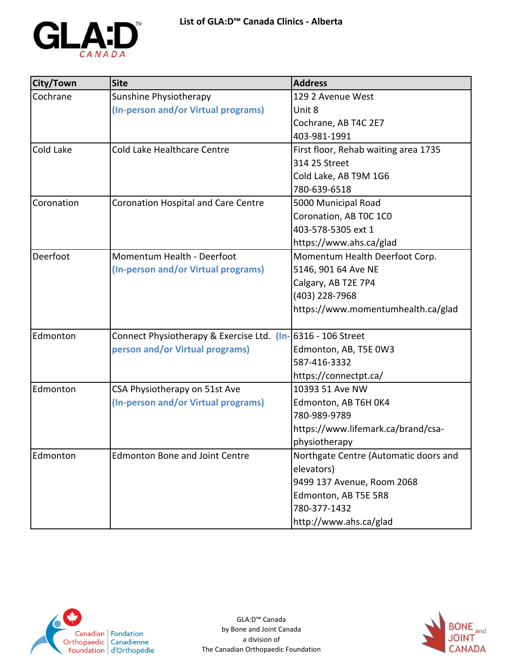

| City/Town  | <b>Site</b>                                                 | <b>Address</b>                        |
|------------|-------------------------------------------------------------|---------------------------------------|
| Cochrane   | Sunshine Physiotherapy                                      | 129 2 Avenue West                     |
|            | (In-person and/or Virtual programs)                         | Unit 8                                |
|            |                                                             | Cochrane, AB T4C 2E7                  |
|            |                                                             | 403-981-1991                          |
| Cold Lake  | Cold Lake Healthcare Centre                                 | First floor, Rehab waiting area 1735  |
|            |                                                             | 314 25 Street                         |
|            |                                                             | Cold Lake, AB T9M 1G6                 |
|            |                                                             | 780-639-6518                          |
| Coronation | <b>Coronation Hospital and Care Centre</b>                  | 5000 Municipal Road                   |
|            |                                                             | Coronation, AB TOC 1CO                |
|            |                                                             | 403-578-5305 ext 1                    |
|            |                                                             | https://www.ahs.ca/glad               |
| Deerfoot   | Momentum Health - Deerfoot                                  | Momentum Health Deerfoot Corp.        |
|            | (In-person and/or Virtual programs)                         | 5146, 901 64 Ave NE                   |
|            |                                                             | Calgary, AB T2E 7P4                   |
|            |                                                             | (403) 228-7968                        |
|            |                                                             | https://www.momentumhealth.ca/glad    |
| Edmonton   | Connect Physiotherapy & Exercise Ltd. (In-6316 - 106 Street |                                       |
|            | person and/or Virtual programs)                             | Edmonton, AB, T5E 0W3                 |
|            |                                                             | 587-416-3332                          |
|            |                                                             | https://connectpt.ca/                 |
| Edmonton   | CSA Physiotherapy on 51st Ave                               | 10393 51 Ave NW                       |
|            | (In-person and/or Virtual programs)                         | Edmonton, AB T6H 0K4                  |
|            |                                                             | 780-989-9789                          |
|            |                                                             | https://www.lifemark.ca/brand/csa-    |
|            |                                                             | physiotherapy                         |
| Edmonton   | <b>Edmonton Bone and Joint Centre</b>                       | Northgate Centre (Automatic doors and |
|            |                                                             | elevators)                            |
|            |                                                             | 9499 137 Avenue, Room 2068            |
|            |                                                             | Edmonton, AB T5E 5R8                  |
|            |                                                             | 780-377-1432                          |
|            |                                                             | http://www.ahs.ca/glad                |



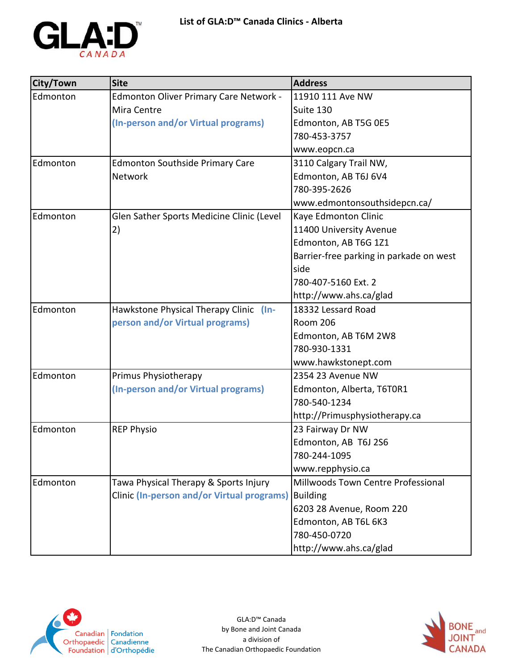

| City/Town | <b>Site</b>                                       | <b>Address</b>                          |
|-----------|---------------------------------------------------|-----------------------------------------|
| Edmonton  | Edmonton Oliver Primary Care Network -            | 11910 111 Ave NW                        |
|           | Mira Centre                                       | Suite 130                               |
|           | (In-person and/or Virtual programs)               | Edmonton, AB T5G 0E5                    |
|           |                                                   | 780-453-3757                            |
|           |                                                   | www.eopcn.ca                            |
| Edmonton  | <b>Edmonton Southside Primary Care</b>            | 3110 Calgary Trail NW,                  |
|           | <b>Network</b>                                    | Edmonton, AB T6J 6V4                    |
|           |                                                   | 780-395-2626                            |
|           |                                                   | www.edmontonsouthsidepcn.ca/            |
| Edmonton  | Glen Sather Sports Medicine Clinic (Level         | Kaye Edmonton Clinic                    |
|           | 2)                                                | 11400 University Avenue                 |
|           |                                                   | Edmonton, AB T6G 1Z1                    |
|           |                                                   | Barrier-free parking in parkade on west |
|           |                                                   | side                                    |
|           |                                                   | 780-407-5160 Ext. 2                     |
|           |                                                   | http://www.ahs.ca/glad                  |
| Edmonton  | Hawkstone Physical Therapy Clinic<br>$($ ln-      | 18332 Lessard Road                      |
|           | person and/or Virtual programs)                   | <b>Room 206</b>                         |
|           |                                                   | Edmonton, AB T6M 2W8                    |
|           |                                                   | 780-930-1331                            |
|           |                                                   | www.hawkstonept.com                     |
| Edmonton  | Primus Physiotherapy                              | 2354 23 Avenue NW                       |
|           | (In-person and/or Virtual programs)               | Edmonton, Alberta, T6T0R1               |
|           |                                                   | 780-540-1234                            |
|           |                                                   | http://Primusphysiotherapy.ca           |
| Edmonton  | <b>REP Physio</b>                                 | 23 Fairway Dr NW                        |
|           |                                                   | Edmonton, AB T6J 2S6                    |
|           |                                                   | 780-244-1095                            |
|           |                                                   | www.repphysio.ca                        |
| Edmonton  | Tawa Physical Therapy & Sports Injury             | Millwoods Town Centre Professional      |
|           | <b>Clinic (In-person and/or Virtual programs)</b> | Building                                |
|           |                                                   | 6203 28 Avenue, Room 220                |
|           |                                                   | Edmonton, AB T6L 6K3                    |
|           |                                                   | 780-450-0720                            |
|           |                                                   | http://www.ahs.ca/glad                  |



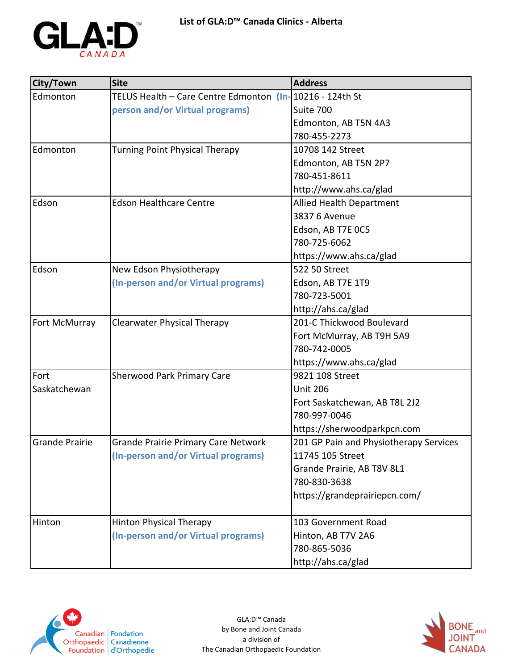

| City/Town             | <b>Site</b>                                              | <b>Address</b>                         |
|-----------------------|----------------------------------------------------------|----------------------------------------|
| Edmonton              | TELUS Health - Care Centre Edmonton (In-10216 - 124th St |                                        |
|                       | person and/or Virtual programs)                          | Suite 700                              |
|                       |                                                          | Edmonton, AB T5N 4A3                   |
|                       |                                                          | 780-455-2273                           |
| Edmonton              | <b>Turning Point Physical Therapy</b>                    | 10708 142 Street                       |
|                       |                                                          | Edmonton, AB T5N 2P7                   |
|                       |                                                          | 780-451-8611                           |
|                       |                                                          | http://www.ahs.ca/glad                 |
| Edson                 | <b>Edson Healthcare Centre</b>                           | <b>Allied Health Department</b>        |
|                       |                                                          | 3837 6 Avenue                          |
|                       |                                                          | Edson, AB T7E OC5                      |
|                       |                                                          | 780-725-6062                           |
|                       |                                                          | https://www.ahs.ca/glad                |
| Edson                 | New Edson Physiotherapy                                  | 522 50 Street                          |
|                       | (In-person and/or Virtual programs)                      | Edson, AB T7E 1T9                      |
|                       |                                                          | 780-723-5001                           |
|                       |                                                          | http://ahs.ca/glad                     |
| Fort McMurray         | <b>Clearwater Physical Therapy</b>                       | 201-C Thickwood Boulevard              |
|                       |                                                          | Fort McMurray, AB T9H 5A9              |
|                       |                                                          | 780-742-0005                           |
|                       |                                                          | https://www.ahs.ca/glad                |
| Fort                  | <b>Sherwood Park Primary Care</b>                        | 9821 108 Street                        |
| Saskatchewan          |                                                          | <b>Unit 206</b>                        |
|                       |                                                          | Fort Saskatchewan, AB T8L 2J2          |
|                       |                                                          | 780-997-0046                           |
|                       |                                                          | https://sherwoodparkpcn.com            |
| <b>Grande Prairie</b> | Grande Prairie Primary Care Network                      | 201 GP Pain and Physiotherapy Services |
|                       | (In-person and/or Virtual programs)                      | 11745 105 Street                       |
|                       |                                                          | Grande Prairie, AB T8V 8L1             |
|                       |                                                          | 780-830-3638                           |
|                       |                                                          | https://grandeprairiepcn.com/          |
|                       |                                                          |                                        |
| Hinton                | <b>Hinton Physical Therapy</b>                           | 103 Government Road                    |
|                       | (In-person and/or Virtual programs)                      | Hinton, AB T7V 2A6                     |
|                       |                                                          | 780-865-5036                           |
|                       |                                                          | http://ahs.ca/glad                     |



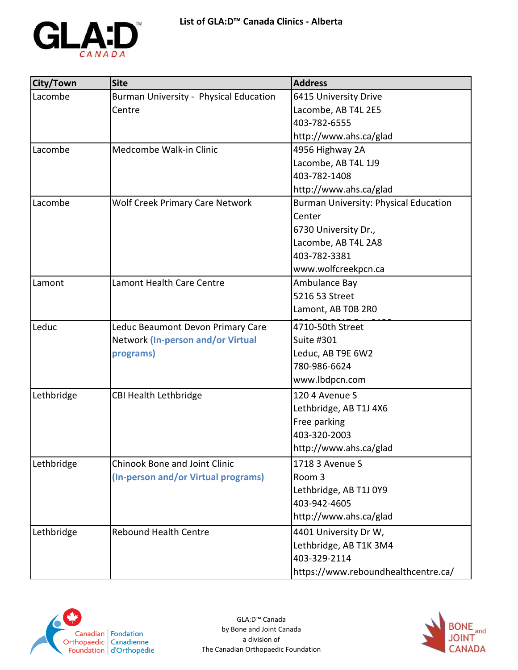

| City/Town  | <b>Site</b>                            | <b>Address</b>                               |
|------------|----------------------------------------|----------------------------------------------|
| Lacombe    | Burman University - Physical Education | 6415 University Drive                        |
|            | Centre                                 | Lacombe, AB T4L 2E5                          |
|            |                                        | 403-782-6555                                 |
|            |                                        | http://www.ahs.ca/glad                       |
| Lacombe    | Medcombe Walk-in Clinic                | 4956 Highway 2A                              |
|            |                                        | Lacombe, AB T4L 1J9                          |
|            |                                        | 403-782-1408                                 |
|            |                                        | http://www.ahs.ca/glad                       |
| Lacombe    | <b>Wolf Creek Primary Care Network</b> | <b>Burman University: Physical Education</b> |
|            |                                        | Center                                       |
|            |                                        | 6730 University Dr.,                         |
|            |                                        | Lacombe, AB T4L 2A8                          |
|            |                                        | 403-782-3381                                 |
|            |                                        | www.wolfcreekpcn.ca                          |
| Lamont     | Lamont Health Care Centre              | Ambulance Bay                                |
|            |                                        | 5216 53 Street                               |
|            |                                        | Lamont, AB T0B 2R0                           |
| Leduc      | Leduc Beaumont Devon Primary Care      | 4710-50th Street                             |
|            | Network (In-person and/or Virtual      | Suite #301                                   |
|            | programs)                              | Leduc, AB T9E 6W2                            |
|            |                                        | 780-986-6624                                 |
|            |                                        | www.lbdpcn.com                               |
| Lethbridge | <b>CBI Health Lethbridge</b>           | 120 4 Avenue S                               |
|            |                                        | Lethbridge, AB T1J 4X6                       |
|            |                                        | Free parking                                 |
|            |                                        | 403-320-2003                                 |
|            |                                        | http://www.ahs.ca/glad                       |
| Lethbridge | Chinook Bone and Joint Clinic          | 1718 3 Avenue S                              |
|            | (In-person and/or Virtual programs)    | Room 3                                       |
|            |                                        | Lethbridge, AB T1J 0Y9                       |
|            |                                        | 403-942-4605                                 |
|            |                                        | http://www.ahs.ca/glad                       |
| Lethbridge | <b>Rebound Health Centre</b>           | 4401 University Dr W,                        |
|            |                                        | Lethbridge, AB T1K 3M4                       |
|            |                                        | 403-329-2114                                 |
|            |                                        | https://www.reboundhealthcentre.ca/          |



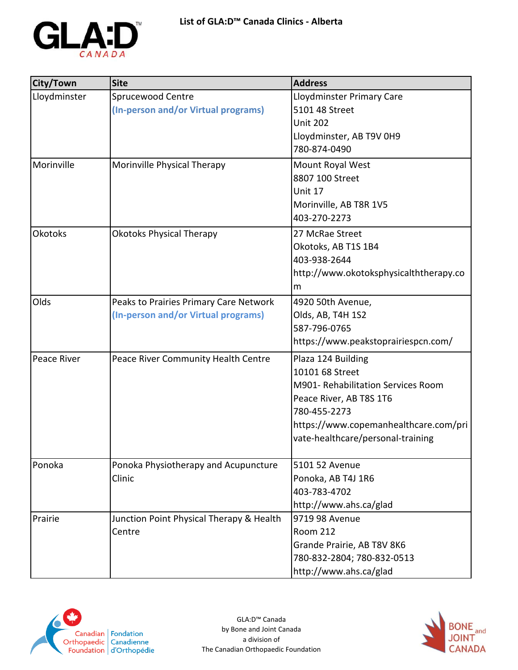

| City/Town      | <b>Site</b>                              | <b>Address</b>                         |
|----------------|------------------------------------------|----------------------------------------|
| Lloydminster   | Sprucewood Centre                        | Lloydminster Primary Care              |
|                | (In-person and/or Virtual programs)      | 5101 48 Street                         |
|                |                                          | <b>Unit 202</b>                        |
|                |                                          | Lloydminster, AB T9V 0H9               |
|                |                                          | 780-874-0490                           |
| Morinville     | Morinville Physical Therapy              | Mount Royal West                       |
|                |                                          | 8807 100 Street                        |
|                |                                          | Unit 17                                |
|                |                                          | Morinville, AB T8R 1V5                 |
|                |                                          | 403-270-2273                           |
| <b>Okotoks</b> | <b>Okotoks Physical Therapy</b>          | 27 McRae Street                        |
|                |                                          | Okotoks, AB T1S 1B4                    |
|                |                                          | 403-938-2644                           |
|                |                                          | http://www.okotoksphysicalththerapy.co |
|                |                                          | m                                      |
| Olds           | Peaks to Prairies Primary Care Network   | 4920 50th Avenue,                      |
|                | (In-person and/or Virtual programs)      | Olds, AB, T4H 1S2                      |
|                |                                          | 587-796-0765                           |
|                |                                          | https://www.peakstoprairiespcn.com/    |
| Peace River    | Peace River Community Health Centre      | Plaza 124 Building                     |
|                |                                          | 10101 68 Street                        |
|                |                                          | M901- Rehabilitation Services Room     |
|                |                                          | Peace River, AB T8S 1T6                |
|                |                                          | 780-455-2273                           |
|                |                                          | https://www.copemanhealthcare.com/pri  |
|                |                                          | vate-healthcare/personal-training      |
|                |                                          |                                        |
| Ponoka         | Ponoka Physiotherapy and Acupuncture     | 5101 52 Avenue                         |
|                | Clinic                                   | Ponoka, AB T4J 1R6                     |
|                |                                          | 403-783-4702                           |
|                |                                          | http://www.ahs.ca/glad                 |
| Prairie        | Junction Point Physical Therapy & Health | 9719 98 Avenue                         |
|                | Centre                                   | <b>Room 212</b>                        |
|                |                                          | Grande Prairie, AB T8V 8K6             |
|                |                                          | 780-832-2804; 780-832-0513             |
|                |                                          | http://www.ahs.ca/glad                 |



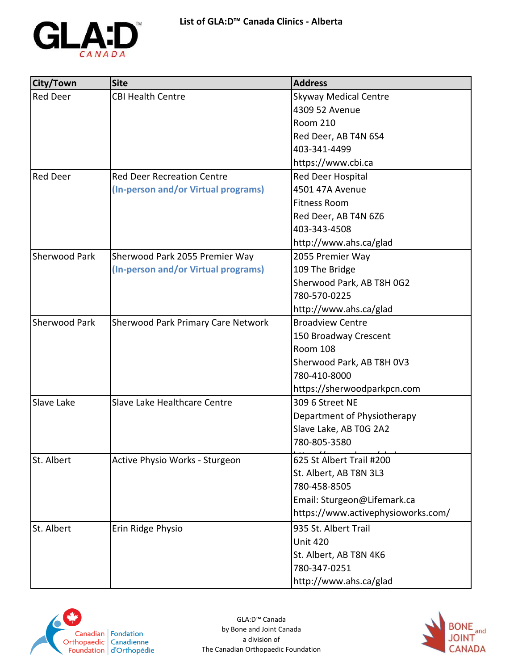

| City/Town            | <b>Site</b>                               | <b>Address</b>                     |
|----------------------|-------------------------------------------|------------------------------------|
| <b>Red Deer</b>      | <b>CBI Health Centre</b>                  | <b>Skyway Medical Centre</b>       |
|                      |                                           | 4309 52 Avenue                     |
|                      |                                           | <b>Room 210</b>                    |
|                      |                                           | Red Deer, AB T4N 6S4               |
|                      |                                           | 403-341-4499                       |
|                      |                                           | https://www.cbi.ca                 |
| <b>Red Deer</b>      | <b>Red Deer Recreation Centre</b>         | Red Deer Hospital                  |
|                      | (In-person and/or Virtual programs)       | 4501 47A Avenue                    |
|                      |                                           | <b>Fitness Room</b>                |
|                      |                                           | Red Deer, AB T4N 6Z6               |
|                      |                                           | 403-343-4508                       |
|                      |                                           | http://www.ahs.ca/glad             |
| <b>Sherwood Park</b> | Sherwood Park 2055 Premier Way            | 2055 Premier Way                   |
|                      | (In-person and/or Virtual programs)       | 109 The Bridge                     |
|                      |                                           | Sherwood Park, AB T8H 0G2          |
|                      |                                           | 780-570-0225                       |
|                      |                                           | http://www.ahs.ca/glad             |
| <b>Sherwood Park</b> | <b>Sherwood Park Primary Care Network</b> | <b>Broadview Centre</b>            |
|                      |                                           | 150 Broadway Crescent              |
|                      |                                           | <b>Room 108</b>                    |
|                      |                                           | Sherwood Park, AB T8H 0V3          |
|                      |                                           | 780-410-8000                       |
|                      |                                           | https://sherwoodparkpcn.com        |
| Slave Lake           | Slave Lake Healthcare Centre              | 309 6 Street NE                    |
|                      |                                           | Department of Physiotherapy        |
|                      |                                           | Slave Lake, AB T0G 2A2             |
|                      |                                           | 780-805-3580                       |
| St. Albert           | Active Physio Works - Sturgeon            | 625 St Albert Trail #200           |
|                      |                                           | St. Albert, AB T8N 3L3             |
|                      |                                           | 780-458-8505                       |
|                      |                                           | Email: Sturgeon@Lifemark.ca        |
|                      |                                           | https://www.activephysioworks.com/ |
| St. Albert           | Erin Ridge Physio                         | 935 St. Albert Trail               |
|                      |                                           | <b>Unit 420</b>                    |
|                      |                                           | St. Albert, AB T8N 4K6             |
|                      |                                           | 780-347-0251                       |
|                      |                                           | http://www.ahs.ca/glad             |



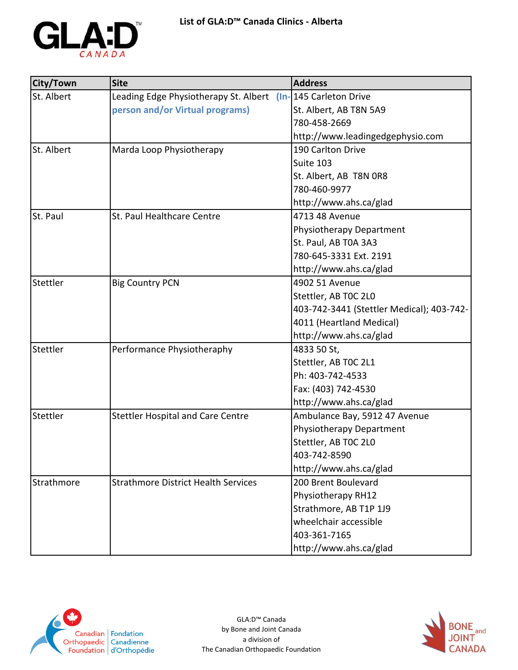

| City/Town  | <b>Site</b>                                                  | <b>Address</b>                            |
|------------|--------------------------------------------------------------|-------------------------------------------|
| St. Albert | Leading Edge Physiotherapy St. Albert (In-145 Carleton Drive |                                           |
|            | person and/or Virtual programs)                              | St. Albert, AB T8N 5A9                    |
|            |                                                              | 780-458-2669                              |
|            |                                                              | http://www.leadingedgephysio.com          |
| St. Albert | Marda Loop Physiotherapy                                     | 190 Carlton Drive                         |
|            |                                                              | Suite 103                                 |
|            |                                                              | St. Albert, AB T8N 0R8                    |
|            |                                                              | 780-460-9977                              |
|            |                                                              | http://www.ahs.ca/glad                    |
| St. Paul   | St. Paul Healthcare Centre                                   | 4713 48 Avenue                            |
|            |                                                              | Physiotherapy Department                  |
|            |                                                              | St. Paul, AB T0A 3A3                      |
|            |                                                              | 780-645-3331 Ext. 2191                    |
|            |                                                              | http://www.ahs.ca/glad                    |
| Stettler   | <b>Big Country PCN</b>                                       | 4902 51 Avenue                            |
|            |                                                              | Stettler, AB TOC 2L0                      |
|            |                                                              | 403-742-3441 (Stettler Medical); 403-742- |
|            |                                                              | 4011 (Heartland Medical)                  |
|            |                                                              | http://www.ahs.ca/glad                    |
| Stettler   | Performance Physiotheraphy                                   | 4833 50 St,                               |
|            |                                                              | Stettler, AB TOC 2L1                      |
|            |                                                              | Ph: 403-742-4533                          |
|            |                                                              | Fax: (403) 742-4530                       |
|            |                                                              | http://www.ahs.ca/glad                    |
| Stettler   | <b>Stettler Hospital and Care Centre</b>                     | Ambulance Bay, 5912 47 Avenue             |
|            |                                                              | Physiotherapy Department                  |
|            |                                                              | Stettler, AB TOC 2L0                      |
|            |                                                              | 403-742-8590                              |
|            |                                                              | http://www.ahs.ca/glad                    |
| Strathmore | <b>Strathmore District Health Services</b>                   | 200 Brent Boulevard                       |
|            |                                                              | Physiotherapy RH12                        |
|            |                                                              | Strathmore, AB T1P 1J9                    |
|            |                                                              | wheelchair accessible                     |
|            |                                                              | 403-361-7165                              |
|            |                                                              | http://www.ahs.ca/glad                    |